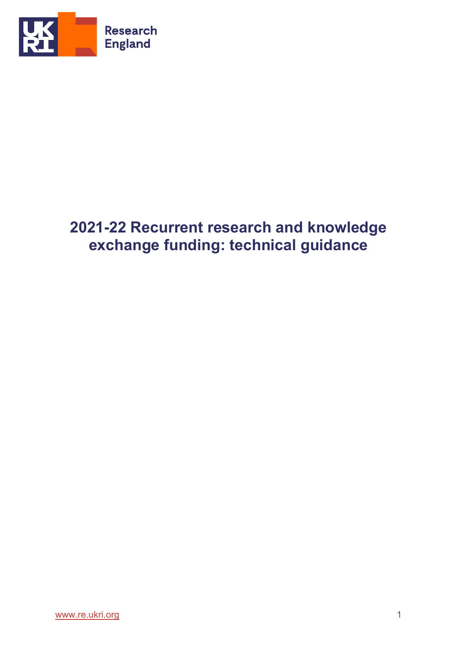

# **2021-22 Recurrent research and knowledge exchange funding: technical guidance**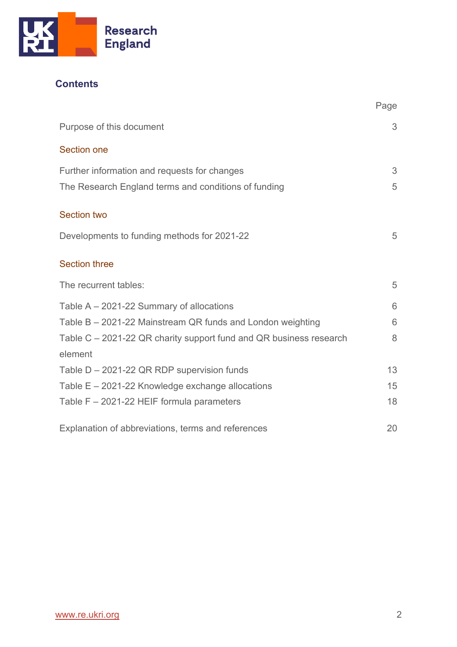

# **Contents**

|                                                                    | Page |
|--------------------------------------------------------------------|------|
| Purpose of this document                                           | 3    |
| <b>Section one</b>                                                 |      |
| Further information and requests for changes                       | 3    |
| The Research England terms and conditions of funding               | 5    |
| <b>Section two</b>                                                 |      |
| Developments to funding methods for 2021-22                        | 5    |
| <b>Section three</b>                                               |      |
| The recurrent tables:                                              | 5    |
| Table $A - 2021 - 22$ Summary of allocations                       | 6    |
| Table B - 2021-22 Mainstream QR funds and London weighting         | 6    |
| Table C – 2021-22 QR charity support fund and QR business research | 8    |
| element                                                            |      |
| Table D - 2021-22 QR RDP supervision funds                         | 13   |
| Table E - 2021-22 Knowledge exchange allocations                   | 15   |
| Table F - 2021-22 HEIF formula parameters                          | 18   |
| Explanation of abbreviations, terms and references                 | 20   |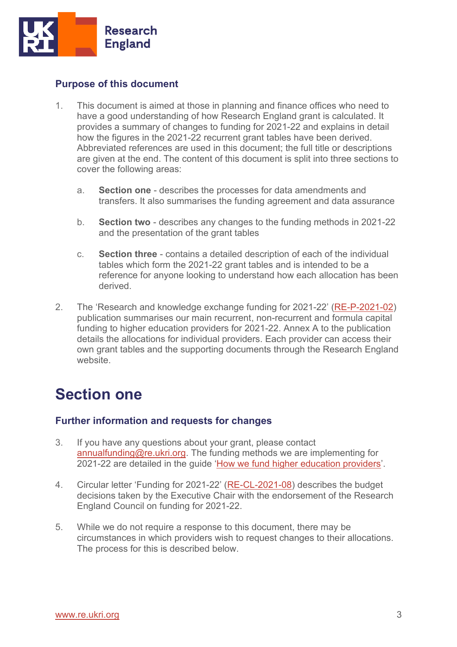

# <span id="page-2-0"></span>**Purpose of this document**

- 1. This document is aimed at those in planning and finance offices who need to have a good understanding of how Research England grant is calculated. It provides a summary of changes to funding for 2021-22 and explains in detail how the figures in the 2021-22 recurrent grant tables have been derived. Abbreviated references are used in this document; the full title or descriptions are given at the end. The content of this document is split into three sections to cover the following areas:
	- a. **Section one** describes the processes for data amendments and transfers. It also summarises the funding agreement and data assurance
	- b. **Section two** describes any changes to the funding methods in 2021-22 and the presentation of the grant tables
	- c. **Section three**  contains a detailed description of each of the individual tables which form the 2021-22 grant tables and is intended to be a reference for anyone looking to understand how each allocation has been derived.
- 2. The 'Research and knowledge exchange funding for 2021-22' ([RE-P-2021-02\)](https://www.ukri.org/publications/research-england-funding-allocations-2021-to-2022/) publication summarises our main recurrent, non-recurrent and formula capital funding to higher education providers for 2021-22. Annex A to the publication details the allocations for individual providers. Each provider can access their own grant tables and the supporting documents through the Research England website.

# **Section one**

## <span id="page-2-1"></span>**Further information and requests for changes**

- 3. If you have any questions about your grant, please contact [annualfunding@re.ukri.org.](mailto:annualfunding@re.ukri.org) The funding methods we are implementing for 2021-22 are detailed in the guide '[How we fund higher education providers](https://www.ukri.org/wp-content/uploads/2021/08/RE-06082021-RE-How-we-fund-HEPs-FINAL.pdf)'.
- 4. Circular letter 'Funding for 2021-22' ([RE-CL-2021-08\)](https://re.ukri.org/sector-guidance/publications/circular-letter-funding-for-2021-22/) describes the budget decisions taken by the Executive Chair with the endorsement of the Research England Council on funding for 2021-22.
- 5. While we do not require a response to this document, there may be circumstances in which providers wish to request changes to their allocations. The process for this is described below.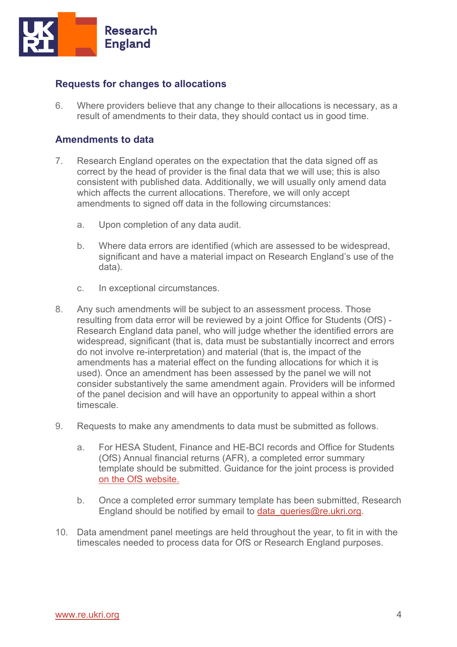

## **Requests for changes to allocations**

6. Where providers believe that any change to their allocations is necessary, as a result of amendments to their data, they should contact us in good time.

## **Amendments to data**

- 7. Research England operates on the expectation that the data signed off as correct by the head of provider is the final data that we will use; this is also consistent with published data. Additionally, we will usually only amend data which affects the current allocations. Therefore, we will only accept amendments to signed off data in the following circumstances:
	- a. Upon completion of any data audit.
	- b. Where data errors are identified (which are assessed to be widespread, significant and have a material impact on Research England's use of the data).
	- c. In exceptional circumstances.
- 8. Any such amendments will be subject to an assessment process. Those resulting from data error will be reviewed by a joint Office for Students (OfS) - Research England data panel, who will judge whether the identified errors are widespread, significant (that is, data must be substantially incorrect and errors do not involve re-interpretation) and material (that is, the impact of the amendments has a material effect on the funding allocations for which it is used). Once an amendment has been assessed by the panel we will not consider substantively the same amendment again. Providers will be informed of the panel decision and will have an opportunity to appeal within a short timescale.
- 9. Requests to make any amendments to data must be submitted as follows.
	- a. For HESA Student, Finance and HE-BCI records and Office for Students (OfS) Annual financial returns (AFR), a completed error summary template should be submitted. Guidance for the joint process is provided [on the OfS website.](https://www.officeforstudents.org.uk/data-and-analysis/amendments-to-data/data-amendments-process/)
	- b. Once a completed error summary template has been submitted, Research England should be notified by email to data queries@re.ukri.org.
- 10. Data amendment panel meetings are held throughout the year, to fit in with the timescales needed to process data for OfS or Research England purposes.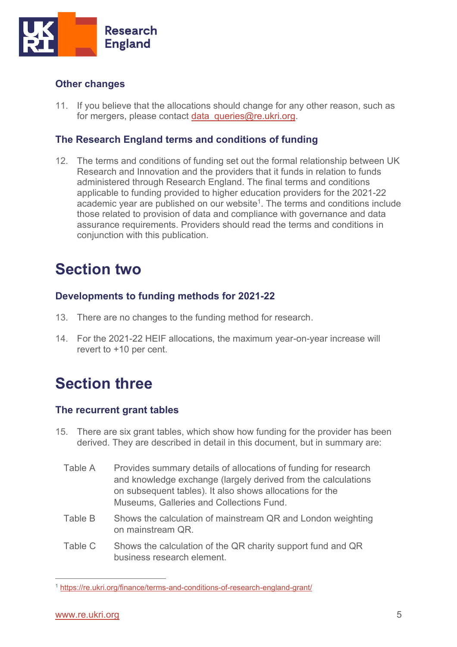

# **Other changes**

11. If you believe that the allocations should change for any other reason, such as for mergers, please contact data queries@re.ukri.org.

# <span id="page-4-0"></span>**The Research England terms and conditions of funding**

12. The terms and conditions of funding set out the formal relationship between UK Research and Innovation and the providers that it funds in relation to funds administered through Research England. The final terms and conditions applicable to funding provided to higher education providers for the 2021-22 academic year are published on our website<sup>1</sup>. The terms and conditions include those related to provision of data and compliance with governance and data assurance requirements. Providers should read the terms and conditions in conjunction with this publication.

# **Section two**

# <span id="page-4-1"></span>**Developments to funding methods for 2021-22**

- 13. There are no changes to the funding method for research.
- 14. For the 2021-22 HEIF allocations, the maximum year-on-year increase will revert to +10 per cent.

# **Section three**

## <span id="page-4-2"></span>**The recurrent grant tables**

- 15. There are six grant tables, which show how funding for the provider has been derived. They are described in detail in this document, but in summary are:
	- Table A Provides summary details of allocations of funding for research and knowledge exchange (largely derived from the calculations on subsequent tables). It also shows allocations for the Museums, Galleries and Collections Fund.
	- Table B Shows the calculation of mainstream QR and London weighting on mainstream QR.
	- Table C Shows the calculation of the QR charity support fund and QR business research element.

<sup>1</sup> https://re.ukri.org/finance/terms-and-conditions-of-research-england-grant/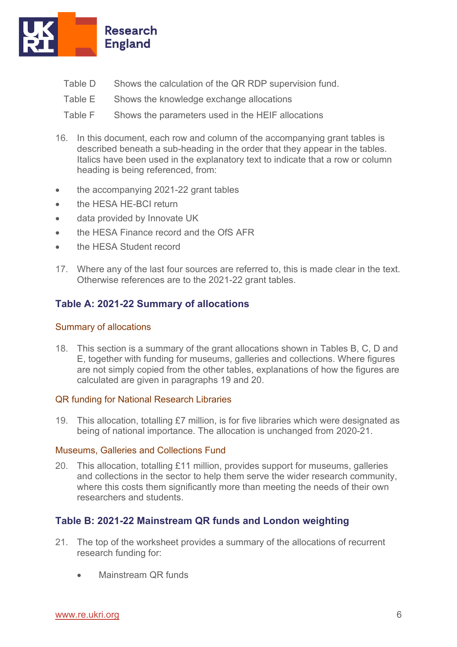

- Table D Shows the calculation of the QR RDP supervision fund.
- Table E Shows the knowledge exchange allocations
- Table F Shows the parameters used in the HEIF allocations
- 16. In this document, each row and column of the accompanying grant tables is described beneath a sub-heading in the order that they appear in the tables. Italics have been used in the explanatory text to indicate that a row or column heading is being referenced, from:
- the accompanying 2021-22 grant tables
- the HESA HE-BCI return
- data provided by Innovate UK
- the HESA Finance record and the OfS AFR
- the HESA Student record
- 17. Where any of the last four sources are referred to, this is made clear in the text. Otherwise references are to the 2021-22 grant tables.

# <span id="page-5-0"></span>**Table A: 2021-22 Summary of allocations**

## Summary of allocations

18. This section is a summary of the grant allocations shown in Tables B, C, D and E, together with funding for museums, galleries and collections. Where figures are not simply copied from the other tables, explanations of how the figures are calculated are given in paragraphs 19 and 20.

## QR funding for National Research Libraries

19. This allocation, totalling £7 million, is for five libraries which were designated as being of national importance. The allocation is unchanged from 2020-21.

#### Museums, Galleries and Collections Fund

20. This allocation, totalling £11 million, provides support for museums, galleries and collections in the sector to help them serve the wider research community, where this costs them significantly more than meeting the needs of their own researchers and students.

## <span id="page-5-1"></span>**Table B: 2021-22 Mainstream QR funds and London weighting**

- 21. The top of the worksheet provides a summary of the allocations of recurrent research funding for:
	- Mainstream QR funds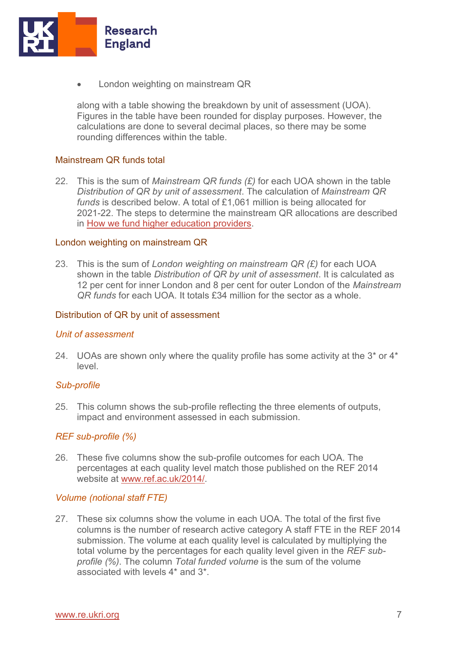

• London weighting on mainstream QR

along with a table showing the breakdown by unit of assessment (UOA). Figures in the table have been rounded for display purposes. However, the calculations are done to several decimal places, so there may be some rounding differences within the table.

#### Mainstream QR funds total

22. This is the sum of *Mainstream QR funds (£)* for each UOA shown in the table *Distribution of QR by unit of assessment*. The calculation of *Mainstream QR funds* is described below. A total of £1,061 million is being allocated for 2021-22. The steps to determine the mainstream QR allocations are described in [How we fund higher education providers.](https://www.ukri.org/publications/research-england-how-we-fund-higher-education-providers/)

#### London weighting on mainstream QR

23. This is the sum of *London weighting on mainstream QR (£)* for each UOA shown in the table *Distribution of QR by unit of assessment*. It is calculated as 12 per cent for inner London and 8 per cent for outer London of the *Mainstream QR funds* for each UOA. It totals £34 million for the sector as a whole.

#### Distribution of QR by unit of assessment

#### *Unit of assessment*

24. UOAs are shown only where the quality profile has some activity at the  $3*$  or  $4*$ level.

#### *Sub-profile*

25. This column shows the sub-profile reflecting the three elements of outputs, impact and environment assessed in each submission.

#### *REF sub-profile (%)*

26. These five columns show the sub-profile outcomes for each UOA. The percentages at each quality level match those published on the REF 2014 website at [www.ref.ac.uk/2014/.](http://www.ref.ac.uk/2014/) 

#### *Volume (notional staff FTE)*

27. These six columns show the volume in each UOA. The total of the first five columns is the number of research active category A staff FTE in the REF 2014 submission. The volume at each quality level is calculated by multiplying the total volume by the percentages for each quality level given in the *REF subprofile (%)*. The column *Total funded volume* is the sum of the volume associated with levels 4\* and 3\*.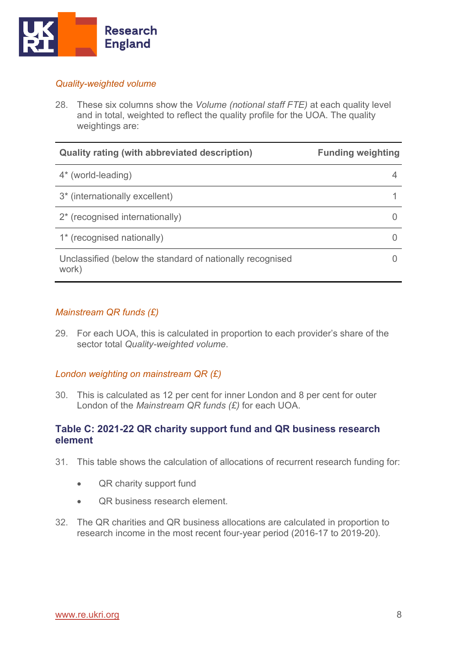

## *Quality-weighted volume*

28. These six columns show the *Volume (notional staff FTE)* at each quality level and in total, weighted to reflect the quality profile for the UOA. The quality weightings are:

| <b>Quality rating (with abbreviated description)</b>               | <b>Funding weighting</b> |
|--------------------------------------------------------------------|--------------------------|
| 4* (world-leading)                                                 |                          |
| 3* (internationally excellent)                                     |                          |
| 2* (recognised internationally)                                    |                          |
| 1* (recognised nationally)                                         |                          |
| Unclassified (below the standard of nationally recognised<br>work) |                          |

## *Mainstream QR funds (£)*

29. For each UOA, this is calculated in proportion to each provider's share of the sector total *Quality-weighted volume*.

## *London weighting on mainstream QR (£)*

30. This is calculated as 12 per cent for inner London and 8 per cent for outer London of the *Mainstream QR funds (£)* for each UOA.

## <span id="page-7-0"></span>**Table C: 2021-22 QR charity support fund and QR business research element**

- 31. This table shows the calculation of allocations of recurrent research funding for:
	- QR charity support fund
	- **QR business research element**
- 32. The QR charities and QR business allocations are calculated in proportion to research income in the most recent four-year period (2016-17 to 2019-20).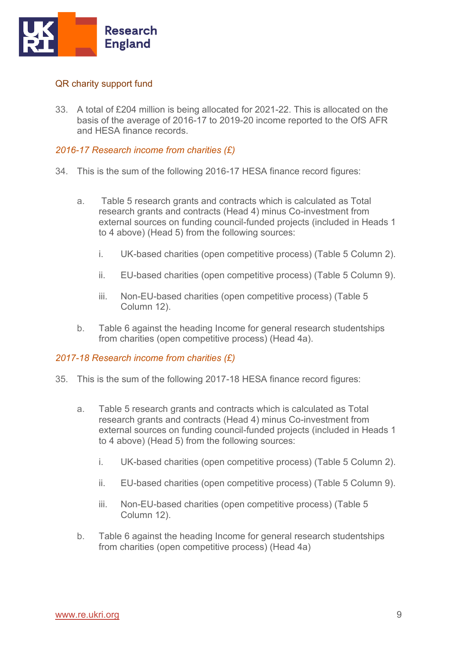

## QR charity support fund

33. A total of £204 million is being allocated for 2021-22. This is allocated on the basis of the average of 2016-17 to 2019-20 income reported to the OfS AFR and HESA finance records.

## *2016-17 Research income from charities (£)*

- 34. This is the sum of the following 2016-17 HESA finance record figures:
	- a. Table 5 research grants and contracts which is calculated as Total research grants and contracts (Head 4) minus Co-investment from external sources on funding council-funded projects (included in Heads 1 to 4 above) (Head 5) from the following sources:
		- i. UK-based charities (open competitive process) (Table 5 Column 2).
		- ii. EU-based charities (open competitive process) (Table 5 Column 9).
		- iii. Non-EU-based charities (open competitive process) (Table 5 Column 12).
	- b. Table 6 against the heading Income for general research studentships from charities (open competitive process) (Head 4a).

## *2017-18 Research income from charities (£)*

- 35. This is the sum of the following 2017-18 HESA finance record figures:
	- a. Table 5 research grants and contracts which is calculated as Total research grants and contracts (Head 4) minus Co-investment from external sources on funding council-funded projects (included in Heads 1 to 4 above) (Head 5) from the following sources:
		- i. UK-based charities (open competitive process) (Table 5 Column 2).
		- ii. EU-based charities (open competitive process) (Table 5 Column 9).
		- iii. Non-EU-based charities (open competitive process) (Table 5 Column 12).
	- b. Table 6 against the heading Income for general research studentships from charities (open competitive process) (Head 4a)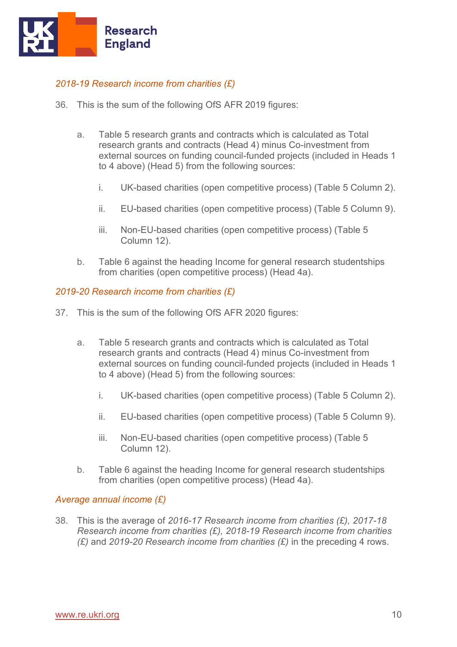

## *2018-19 Research income from charities (£)*

- 36. This is the sum of the following OfS AFR 2019 figures:
	- a. Table 5 research grants and contracts which is calculated as Total research grants and contracts (Head 4) minus Co-investment from external sources on funding council-funded projects (included in Heads 1 to 4 above) (Head 5) from the following sources:
		- i. UK-based charities (open competitive process) (Table 5 Column 2).
		- ii. EU-based charities (open competitive process) (Table 5 Column 9).
		- iii. Non-EU-based charities (open competitive process) (Table 5 Column 12).
	- b. Table 6 against the heading Income for general research studentships from charities (open competitive process) (Head 4a).

## *2019-20 Research income from charities (£)*

- 37. This is the sum of the following OfS AFR 2020 figures:
	- a. Table 5 research grants and contracts which is calculated as Total research grants and contracts (Head 4) minus Co-investment from external sources on funding council-funded projects (included in Heads 1 to 4 above) (Head 5) from the following sources:
		- i. UK-based charities (open competitive process) (Table 5 Column 2).
		- ii. EU-based charities (open competitive process) (Table 5 Column 9).
		- iii. Non-EU-based charities (open competitive process) (Table 5 Column 12).
	- b. Table 6 against the heading Income for general research studentships from charities (open competitive process) (Head 4a).

#### *Average annual income (£)*

38. This is the average of *2016-17 Research income from charities (£), 2017-18 Research income from charities (£), 2018-19 Research income from charities (£)* and *2019-20 Research income from charities (£)* in the preceding 4 rows.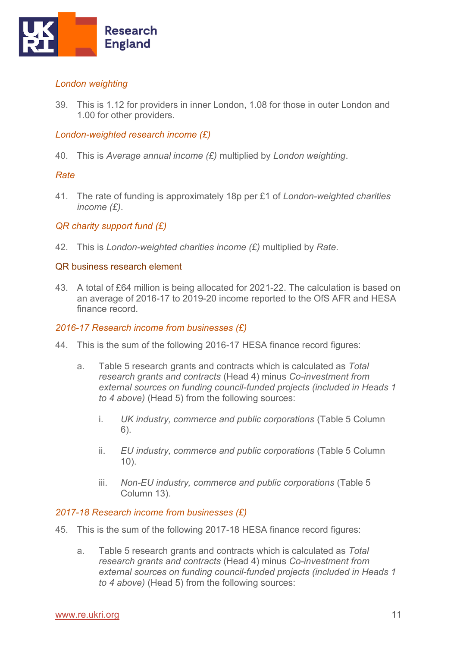

## *London weighting*

39. This is 1.12 for providers in inner London, 1.08 for those in outer London and 1.00 for other providers.

## *London-weighted research income (£)*

40. This is *Average annual income (£)* multiplied by *London weighting*.

## *Rate*

41. The rate of funding is approximately 18p per £1 of *London-weighted charities income (£)*.

## *QR charity support fund (£)*

42. This is *London-weighted charities income (£)* multiplied by *Rate*.

## QR business research element

43. A total of £64 million is being allocated for 2021-22. The calculation is based on an average of 2016-17 to 2019-20 income reported to the OfS AFR and HESA finance record.

### *2016-17 Research income from businesses (£)*

- 44. This is the sum of the following 2016-17 HESA finance record figures:
	- a. Table 5 research grants and contracts which is calculated as *Total research grants and contracts* (Head 4) minus *Co-investment from external sources on funding council-funded projects (included in Heads 1 to 4 above)* (Head 5) from the following sources:
		- i. *UK industry, commerce and public corporations* (Table 5 Column 6).
		- ii. *EU industry, commerce and public corporations* (Table 5 Column 10).
		- iii. *Non-EU industry, commerce and public corporations* (Table 5 Column 13).

#### *2017-18 Research income from businesses (£)*

- 45. This is the sum of the following 2017-18 HESA finance record figures:
	- a. Table 5 research grants and contracts which is calculated as *Total research grants and contracts* (Head 4) minus *Co-investment from external sources on funding council-funded projects (included in Heads 1 to 4 above)* (Head 5) from the following sources: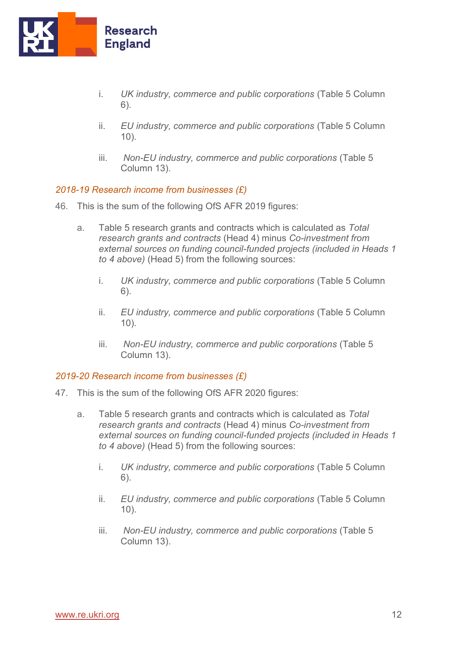

- i. *UK industry, commerce and public corporations* (Table 5 Column 6).
- ii. *EU industry, commerce and public corporations* (Table 5 Column 10).
- iii. *Non-EU industry, commerce and public corporations* (Table 5 Column 13).

#### *2018-19 Research income from businesses (£)*

- 46. This is the sum of the following OfS AFR 2019 figures:
	- a. Table 5 research grants and contracts which is calculated as *Total research grants and contracts* (Head 4) minus *Co-investment from external sources on funding council-funded projects (included in Heads 1 to 4 above)* (Head 5) from the following sources:
		- i. *UK industry, commerce and public corporations* (Table 5 Column 6).
		- ii. *EU industry, commerce and public corporations* (Table 5 Column 10).
		- iii. *Non-EU industry, commerce and public corporations* (Table 5 Column 13).

#### *2019-20 Research income from businesses (£)*

- 47. This is the sum of the following OfS AFR 2020 figures:
	- a. Table 5 research grants and contracts which is calculated as *Total research grants and contracts* (Head 4) minus *Co-investment from external sources on funding council-funded projects (included in Heads 1 to 4 above)* (Head 5) from the following sources:
		- i. *UK industry, commerce and public corporations* (Table 5 Column 6).
		- ii. *EU industry, commerce and public corporations* (Table 5 Column 10).
		- iii. *Non-EU industry, commerce and public corporations* (Table 5 Column 13).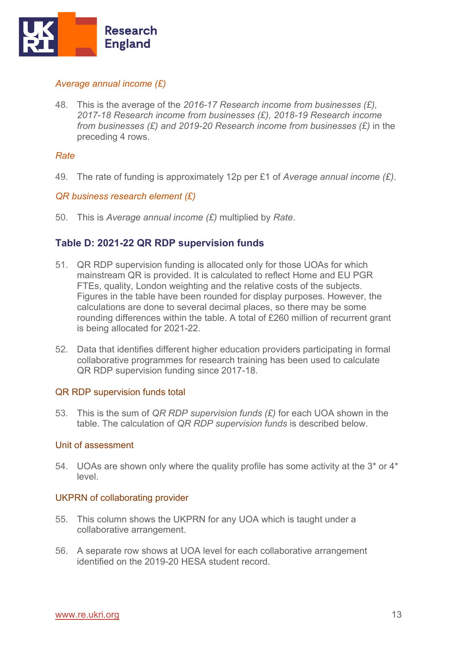

## *Average annual income (£)*

48. This is the average of the *2016-17 Research income from businesses (£), 2017-18 Research income from businesses (£), 2018-19 Research income from businesses (£) and 2019-20 Research income from businesses (£)* in the preceding 4 rows.

## *Rate*

49. The rate of funding is approximately 12p per £1 of *Average annual income (£)*.

## *QR business research element (£)*

50. This is *Average annual income (£)* multiplied by *Rate*.

## <span id="page-12-0"></span>**Table D: 2021-22 QR RDP supervision funds**

- 51. QR RDP supervision funding is allocated only for those UOAs for which mainstream QR is provided. It is calculated to reflect Home and EU PGR FTEs, quality, London weighting and the relative costs of the subjects. Figures in the table have been rounded for display purposes. However, the calculations are done to several decimal places, so there may be some rounding differences within the table. A total of £260 million of recurrent grant is being allocated for 2021-22.
- 52. Data that identifies different higher education providers participating in formal collaborative programmes for research training has been used to calculate QR RDP supervision funding since 2017-18.

#### QR RDP supervision funds total

53. This is the sum of *QR RDP supervision funds (£)* for each UOA shown in the table. The calculation of *QR RDP supervision funds* is described below.

#### Unit of assessment

54. UOAs are shown only where the quality profile has some activity at the 3\* or 4\* level.

## UKPRN of collaborating provider

- 55. This column shows the UKPRN for any UOA which is taught under a collaborative arrangement.
- 56. A separate row shows at UOA level for each collaborative arrangement identified on the 2019-20 HESA student record.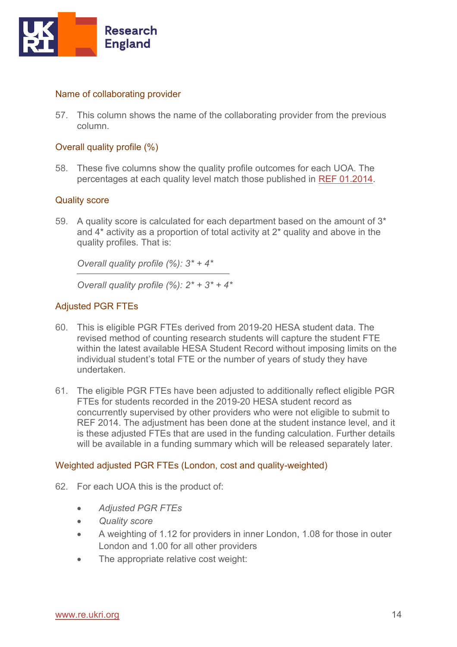

### Name of collaborating provider

57. This column shows the name of the collaborating provider from the previous column.

### Overall quality profile (%)

58. These five columns show the quality profile outcomes for each UOA. The percentages at each quality level match those published in [REF 01.2014.](http://www.ref.ac.uk/2014/pubs/201401/) 

#### Quality score

59. A quality score is calculated for each department based on the amount of  $3<sup>*</sup>$ and 4\* activity as a proportion of total activity at 2\* quality and above in the quality profiles. That is:

*Overall quality profile (%): 3\* + 4\** 

*Overall quality profile (%): 2\* + 3\* + 4\** 

## Adjusted PGR FTEs

- 60. This is eligible PGR FTEs derived from 2019-20 HESA student data. The revised method of counting research students will capture the student FTE within the latest available HESA Student Record without imposing limits on the individual student's total FTE or the number of years of study they have undertaken.
- 61. The eligible PGR FTEs have been adjusted to additionally reflect eligible PGR FTEs for students recorded in the 2019-20 HESA student record as concurrently supervised by other providers who were not eligible to submit to REF 2014. The adjustment has been done at the student instance level, and it is these adjusted FTEs that are used in the funding calculation. Further details will be available in a funding summary which will be released separately later.

#### Weighted adjusted PGR FTEs (London, cost and quality-weighted)

- 62. For each UOA this is the product of:
	- *Adjusted PGR FTEs*
	- *Quality score*
	- A weighting of 1.12 for providers in inner London, 1.08 for those in outer London and 1.00 for all other providers
	- The appropriate relative cost weight: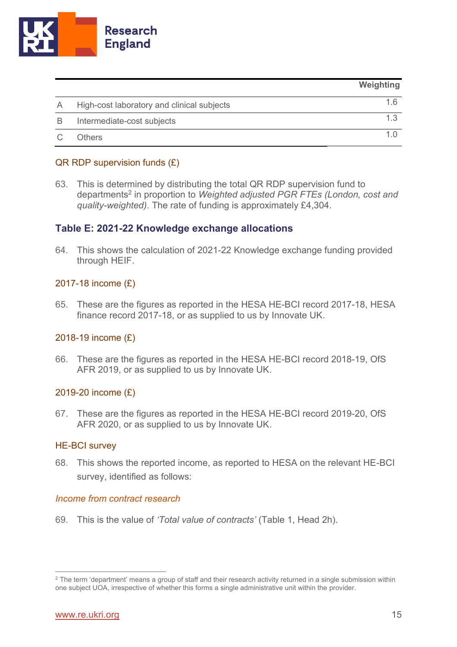

|   |                                            | Weighting |
|---|--------------------------------------------|-----------|
|   | High-cost laboratory and clinical subjects | 16        |
| B | Intermediate-cost subjects                 | 13        |
|   | <b>Others</b>                              | 1 Q       |

## QR RDP supervision funds (£)

63. This is determined by distributing the total QR RDP supervision fund to departments<sup>2</sup> in proportion to *Weighted adjusted PGR FTEs (London, cost and quality-weighted)*. The rate of funding is approximately £4,304.

## <span id="page-14-0"></span>**Table E: 2021-22 Knowledge exchange allocations**

64. This shows the calculation of 2021-22 Knowledge exchange funding provided through HEIF.

## 2017-18 income (£)

65. These are the figures as reported in the HESA HE-BCI record 2017-18, HESA finance record 2017-18, or as supplied to us by Innovate UK.

## 2018-19 income (£)

66. These are the figures as reported in the HESA HE-BCI record 2018-19, OfS AFR 2019, or as supplied to us by Innovate UK.

## 2019-20 income (£)

67. These are the figures as reported in the HESA HE-BCI record 2019-20, OfS AFR 2020, or as supplied to us by Innovate UK.

## HE-BCI survey

68. This shows the reported income, as reported to HESA on the relevant HE-BCI survey, identified as follows:

## *Income from contract research*

69. This is the value of *'Total value of contracts'* (Table 1, Head 2h).

<sup>&</sup>lt;sup>2</sup> The term 'department' means a group of staff and their research activity returned in a single submission within one subject UOA, irrespective of whether this forms a single administrative unit within the provider.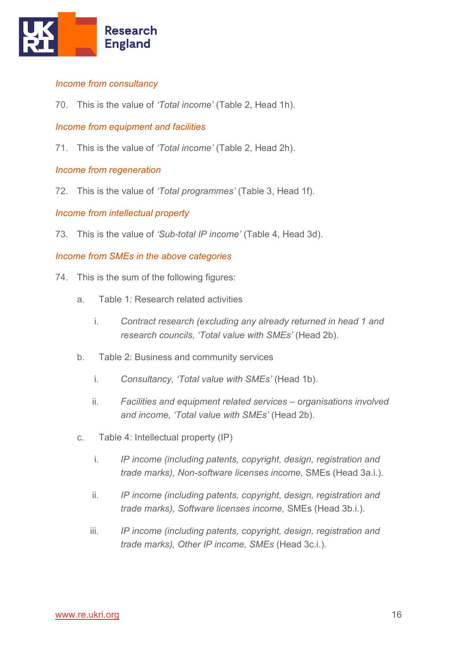

## *Income from consultancy*

70. This is the value of *'Total income'* (Table 2, Head 1h).

## *Income from equipment and facilities*

71. This is the value of *'Total income'* (Table 2, Head 2h).

## *Income from regeneration*

72. This is the value of *'Total programmes'* (Table 3, Head 1f).

## *Income from intellectual property*

73. This is the value of *'Sub-total IP income'* (Table 4, Head 3d).

## *Income from SMEs in the above categories*

- 74. This is the sum of the following figures:
	- a. Table 1: Research related activities
		- i. *Contract research (excluding any already returned in head 1 and research councils, 'Total value with SMEs'* (Head 2b).
	- b. Table 2: Business and community services
		- i. *Consultancy, 'Total value with SMEs'* (Head 1b).
		- ii. *Facilities and equipment related services – organisations involved and income, 'Total value with SMEs'* (Head 2b).
	- c. Table 4: Intellectual property (IP)
		- i. *IP income (including patents, copyright, design, registration and trade marks), Non-software licenses income,* SMEs (Head 3a.i.).
		- ii. *IP income (including patents, copyright, design, registration and trade marks), Software licenses income,* SMEs (Head 3b.i.).
		- iii. *IP income (including patents, copyright, design, registration and trade marks), Other IP income, SMEs* (Head 3c.i.).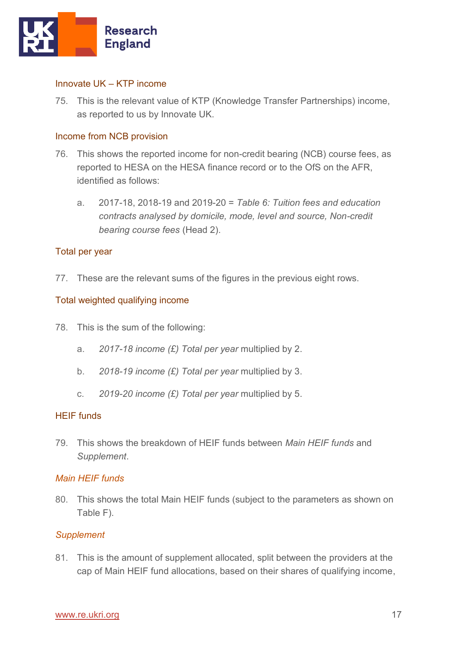

## Innovate UK – KTP income

75. This is the relevant value of KTP (Knowledge Transfer Partnerships) income, as reported to us by Innovate UK.

## Income from NCB provision

- 76. This shows the reported income for non-credit bearing (NCB) course fees, as reported to HESA on the HESA finance record or to the OfS on the AFR, identified as follows:
	- a. 2017-18, 2018-19 and 2019-20 = *Table 6: Tuition fees and education contracts analysed by domicile, mode, level and source, Non-credit bearing course fees* (Head 2).

#### Total per year

77. These are the relevant sums of the figures in the previous eight rows.

## Total weighted qualifying income

- 78. This is the sum of the following:
	- a. *2017-18 income (£) Total per year* multiplied by 2.
	- b. *2018-19 income (£) Total per year* multiplied by 3.
	- c. *2019-20 income (£) Total per year* multiplied by 5.

## HEIF funds

79. This shows the breakdown of HEIF funds between *Main HEIF funds* and *Supplement*.

## *Main HEIF funds*

80. This shows the total Main HEIF funds (subject to the parameters as shown on Table F).

## *Supplement*

81. This is the amount of supplement allocated, split between the providers at the cap of Main HEIF fund allocations, based on their shares of qualifying income,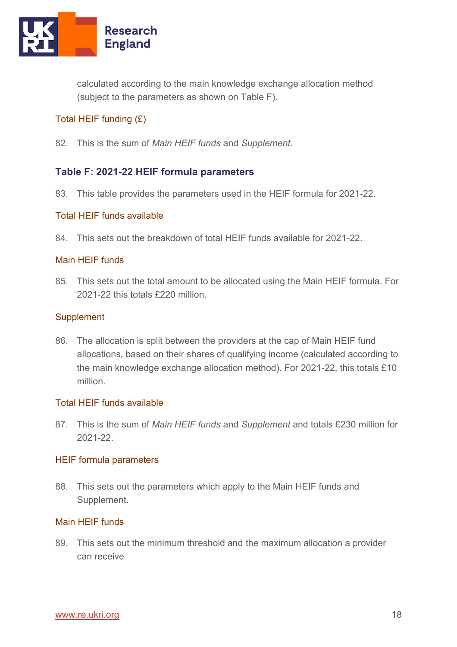

calculated according to the main knowledge exchange allocation method (subject to the parameters as shown on Table F).

## Total HEIF funding (£)

82. This is the sum of *Main HEIF funds* and *Supplement*.

## <span id="page-17-0"></span>**Table F: 2021-22 HEIF formula parameters**

83. This table provides the parameters used in the HEIF formula for 2021-22.

## Total HEIF funds available

84. This sets out the breakdown of total HEIF funds available for 2021-22.

## Main HEIF funds

85. This sets out the total amount to be allocated using the Main HEIF formula. For 2021-22 this totals £220 million.

## **Supplement**

86. The allocation is split between the providers at the cap of Main HEIF fund allocations, based on their shares of qualifying income (calculated according to the main knowledge exchange allocation method). For 2021-22, this totals £10 million.

#### Total HEIF funds available

87. This is the sum of *Main HEIF funds* and *Supplement* and totals £230 million for 2021-22.

#### HEIF formula parameters

88. This sets out the parameters which apply to the Main HEIF funds and Supplement.

## Main HEIF funds

89. This sets out the minimum threshold and the maximum allocation a provider can receive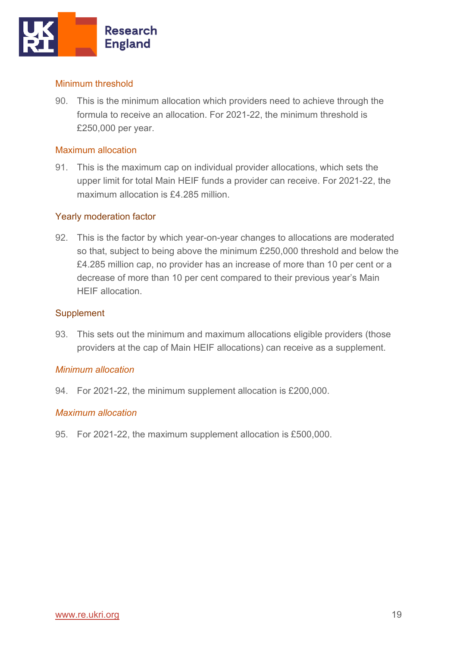

## Minimum threshold

90. This is the minimum allocation which providers need to achieve through the formula to receive an allocation. For 2021-22, the minimum threshold is £250,000 per year.

## Maximum allocation

91. This is the maximum cap on individual provider allocations, which sets the upper limit for total Main HEIF funds a provider can receive. For 2021-22, the maximum allocation is £4.285 million.

## Yearly moderation factor

92. This is the factor by which year-on-year changes to allocations are moderated so that, subject to being above the minimum £250,000 threshold and below the £4.285 million cap, no provider has an increase of more than 10 per cent or a decrease of more than 10 per cent compared to their previous year's Main HEIF allocation.

## **Supplement**

93. This sets out the minimum and maximum allocations eligible providers (those providers at the cap of Main HEIF allocations) can receive as a supplement.

## *Minimum allocation*

94. For 2021-22, the minimum supplement allocation is £200,000.

## *Maximum allocation*

95. For 2021-22, the maximum supplement allocation is £500,000.